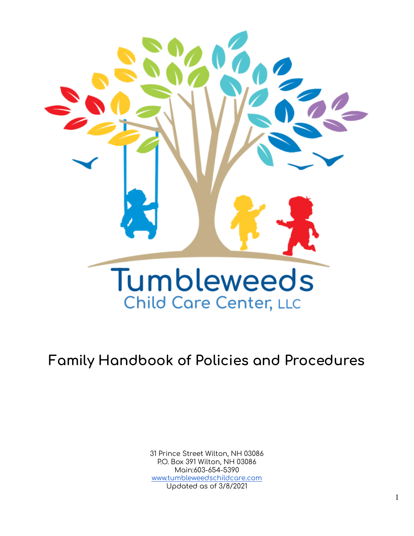

# **Family Handbook of Policies and Procedures**

31 Prince Street Wilton, NH 03086 P.O. Box 391 Wilton, NH 03086 Main:603-654-5390 [www.tumbleweedschildcare.com](http://www.tumbleweedschildcare.com) Updated as of 3/8/2021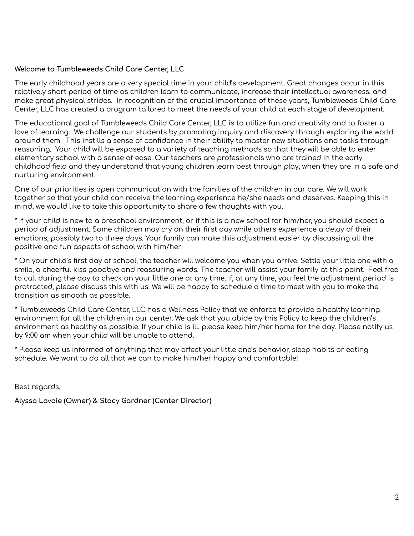# **Welcome to Tumbleweeds Child Care Center, LLC**

The early childhood years are a very special time in your child's development. Great changes occur in this relatively short period of time as children learn to communicate, increase their intellectual awareness, and make great physical strides. In recognition of the crucial importance of these years, Tumbleweeds Child Care Center, LLC has created a program tailored to meet the needs of your child at each stage of development.

The educational goal of Tumbleweeds Child Care Center, LLC is to utilize fun and creativity and to foster a love of learning. We challenge our students by promoting inquiry and discovery through exploring the world around them. This instills a sense of confidence in their ability to master new situations and tasks through reasoning. Your child will be exposed to a variety of teaching methods so that they will be able to enter elementary school with a sense of ease. Our teachers are professionals who are trained in the early childhood field and they understand that young children learn best through play, when they are in a safe and nurturing environment.

One of our priorities is open communication with the families of the children in our care. We will work together so that your child can receive the learning experience he/she needs and deserves. Keeping this in mind, we would like to take this opportunity to share a few thoughts with you.

\* If your child is new to a preschool environment, or if this is a new school for him/her, you should expect a period of adjustment. Some children may cry on their first day while others experience a delay of their emotions, possibly two to three days. Your family can make this adjustment easier by discussing all the positive and fun aspects of school with him/her.

\* On your child's first day of school, the teacher will welcome you when you arrive. Settle your little one with a smile, a cheerful kiss goodbye and reassuring words. The teacher will assist your family at this point. Feel free to call during the day to check on your little one at any time. If, at any time, you feel the adjustment period is protracted, please discuss this with us. We will be happy to schedule a time to meet with you to make the transition as smooth as possible.

\* Tumbleweeds Child Care Center, LLC has a Wellness Policy that we enforce to provide a healthy learning environment for all the children in our center. We ask that you abide by this Policy to keep the children's environment as healthy as possible. If your child is ill, please keep him/her home for the day. Please notify us by 9:00 am when your child will be unable to attend.

\* Please keep us informed of anything that may affect your little one's behavior, sleep habits or eating schedule. We want to do all that we can to make him/her happy and comfortable!

Best regards,

**Alyssa Lavoie (Owner) & Stacy Gardner (Center Director)**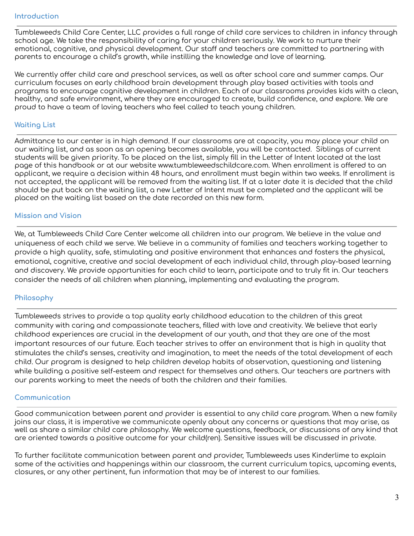Tumbleweeds Child Care Center, LLC provides a full range of child care services to children in infancy through school age. We take the responsibility of caring for your children seriously. We work to nurture their emotional, cognitive, and physical development. Our staff and teachers are committed to partnering with parents to encourage a child's growth, while instilling the knowledge and love of learning.

We currently offer child care and preschool services, as well as after school care and summer camps. Our curriculum focuses on early childhood brain development through play based activities with tools and programs to encourage cognitive development in children. Each of our classrooms provides kids with a clean, healthy, and safe environment, where they are encouraged to create, build confidence, and explore. We are proud to have a team of loving teachers who feel called to teach young children.

#### **Waiting List**

Admittance to our center is in high demand. If our classrooms are at capacity, you may place your child on our waiting list, and as soon as an opening becomes available, you will be contacted. Siblings of current students will be given priority. To be placed on the list, simply fill in the Letter of Intent located at the last page of this handbook or at our website www.tumbleweedschildcare.com. When enrollment is offered to an applicant, we require a decision within 48 hours, and enrollment must begin within two weeks. If enrollment is not accepted, the applicant will be removed from the waiting list. If at a later date it is decided that the child should be put back on the waiting list, a new Letter of Intent must be completed and the applicant will be placed on the waiting list based on the date recorded on this new form.

#### **Mission and Vision**

We, at Tumbleweeds Child Care Center welcome all children into our program. We believe in the value and uniqueness of each child we serve. We believe in a community of families and teachers working together to provide a high quality, safe, stimulating and positive environment that enhances and fosters the physical, emotional, cognitive, creative and social development of each individual child, through play-based learning and discovery. We provide opportunities for each child to learn, participate and to truly fit in. Our teachers consider the needs of all children when planning, implementing and evaluating the program.

#### **Philosophy**

Tumbleweeds strives to provide a top quality early childhood education to the children of this great community with caring and compassionate teachers, filled with love and creativity. We believe that early childhood experiences are crucial in the development of our youth, and that they are one of the most important resources of our future. Each teacher strives to offer an environment that is high in quality that stimulates the child's senses, creativity and imagination, to meet the needs of the total development of each child. Our program is designed to help children develop habits of observation, questioning and listening while building a positive self-esteem and respect for themselves and others. Our teachers are partners with our parents working to meet the needs of both the children and their families.

#### **Communication**

Good communication between parent and provider is essential to any child care program. When a new family joins our class, it is imperative we communicate openly about any concerns or questions that may arise, as well as share a similar child care philosophy. We welcome questions, feedback, or discussions of any kind that are oriented towards a positive outcome for your child(ren). Sensitive issues will be discussed in private.

To further facilitate communication between parent and provider, Tumbleweeds uses Kinderlime to explain some of the activities and happenings within our classroom, the current curriculum topics, upcoming events, closures, or any other pertinent, fun information that may be of interest to our families.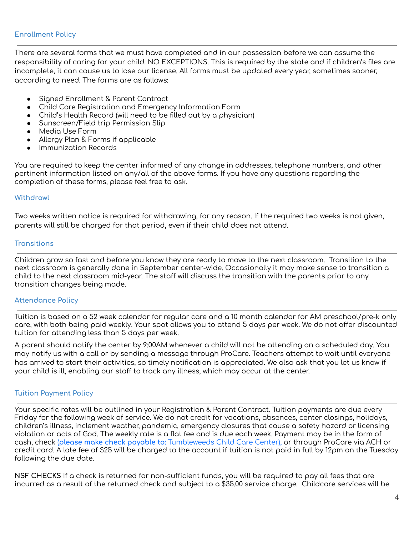#### **Enrollment Policy**

There are several forms that we must have completed and in our possession before we can assume the responsibility of caring for your child. NO EXCEPTIONS. This is required by the state and if children's files are incomplete, it can cause us to lose our license. All forms must be updated every year, sometimes sooner, according to need. The forms are as follows:

- Signed Enrollment & Parent Contract
- Child Care Registration and Emergency Information Form
- Child's Health Record (will need to be filled out by a physician)
- Sunscreen/Field trip Permission Slip
- Media Use Form
- Allergy Plan & Forms if applicable
- Immunization Records

You are required to keep the center informed of any change in addresses, telephone numbers, and other pertinent information listed on any/all of the above forms. If you have any questions regarding the completion of these forms, please feel free to ask.

#### **Withdrawl**

Two weeks written notice is required for withdrawing, for any reason. If the required two weeks is not given, parents will still be charged for that period, even if their child does not attend.

#### **Transitions**

Children grow so fast and before you know they are ready to move to the next classroom. Transition to the next classroom is generally done in September center-wide. Occasionally it may make sense to transition a child to the next classroom mid-year. The staff will discuss the transition with the parents prior to any transition changes being made.

#### **Attendance Policy**

Tuition is based on a 52 week calendar for regular care and a 10 month calendar for AM preschool/pre-k only care, with both being paid weekly. Your spot allows you to attend 5 days per week. We do not offer discounted tuition for attending less than 5 days per week.

A parent should notify the center by 9:00AM whenever a child will not be attending on a scheduled day. You may notify us with a call or by sending a message through ProCare. Teachers attempt to wait until everyone has arrived to start their activities, so timely notification is appreciated. We also ask that you let us know if your child is ill, enabling our staff to track any illness, which may occur at the center.

## **Tuition Payment Policy**

Your specific rates will be outlined in your Registration & Parent Contract. Tuition payments are due every Friday for the following week of service. We do not credit for vacations, absences, center closings, holidays, children's illness, inclement weather, pandemic, emergency closures that cause a safety hazard or licensing violation or acts of God. The weekly rate is a flat fee and is due each week. Payment may be in the form of cash, check (**please make check payable to:** Tumbleweeds Child Care Center), or through ProCare via ACH or credit card. A late fee of \$25 will be charged to the account if tuition is not paid in full by 12pm on the Tuesday following the due date.

**NSF CHECKS** If a check is returned for non-sufficient funds, you will be required to pay all fees that are incurred as a result of the returned check and subject to a \$35.00 service charge. Childcare services will be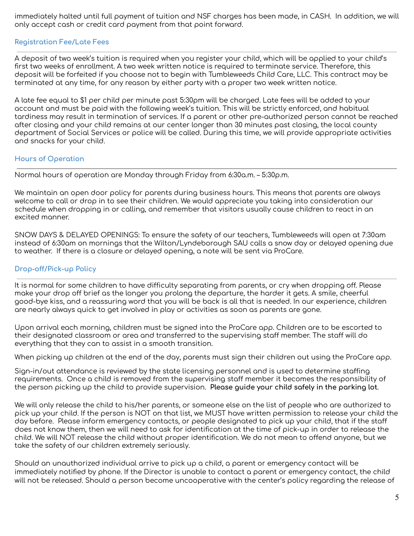immediately halted until full payment of tuition and NSF charges has been made, in CASH. In addition, we will only accept cash or credit card payment from that point forward.

#### **Registration Fee/Late Fees**

A deposit of two week's tuition is required when you register your child, which will be applied to your child's first two weeks of enrollment. A two week written notice is required to terminate service. Therefore, this deposit will be forfeited if you choose not to begin with Tumbleweeds Child Care, LLC. This contract may be terminated at any time, for any reason by either party with a proper two week written notice.

A late fee equal to \$1 per child per minute past 5:30pm will be charged. Late fees will be added to your account and must be paid with the following week's tuition. This will be strictly enforced, and habitual tardiness may result in termination of services. If a parent or other pre-authorized person cannot be reached after closing and your child remains at our center longer than 30 minutes past closing, the local county department of Social Services or police will be called. During this time, we will provide appropriate activities and snacks for your child.

#### **Hours of Operation**

Normal hours of operation are Monday through Friday from 6:30a.m. – 5:30p.m.

We maintain an open door policy for parents during business hours. This means that parents are always welcome to call or drop in to see their children. We would appreciate you taking into consideration our schedule when dropping in or calling, and remember that visitors usually cause children to react in an excited manner.

SNOW DAYS & DELAYED OPENINGS: To ensure the safety of our teachers, Tumbleweeds will open at 7:30am instead of 6:30am on mornings that the Wilton/Lyndeborough SAU calls a snow day or delayed opening due to weather. If there is a closure or delayed opening, a note will be sent via ProCare.

#### **Drop-off/Pick-up Policy**

It is normal for some children to have difficulty separating from parents, or cry when dropping off. Please make your drop off brief as the longer you prolong the departure, the harder it gets. A smile, cheerful good-bye kiss, and a reassuring word that you will be back is all that is needed. In our experience, children are nearly always quick to get involved in play or activities as soon as parents are gone.

Upon arrival each morning, children must be signed into the ProCare app. Children are to be escorted to their designated classroom or area and transferred to the supervising staff member. The staff will do everything that they can to assist in a smooth transition.

When picking up children at the end of the day, parents must sign their children out using the ProCare app.

Sign-in/out attendance is reviewed by the state licensing personnel and is used to determine staffing requirements. Once a child is removed from the supervising staff member it becomes the responsibility of the person picking up the child to provide supervision. **Please guide your child safely in the parking lot**.

We will only release the child to his/her parents, or someone else on the list of people who are authorized to pick up your child. If the person is NOT on that list, we MUST have written permission to release your child the day before. Please inform emergency contacts, or people designated to pick up your child, that if the staff does not know them, then we will need to ask for identification at the time of pick-up in order to release the child. We will NOT release the child without proper identification. We do not mean to offend anyone, but we take the safety of our children extremely seriously.

Should an unauthorized individual arrive to pick up a child, a parent or emergency contact will be immediately notified by phone. If the Director is unable to contact a parent or emergency contact, the child will not be released. Should a person become uncooperative with the center's policy regarding the release of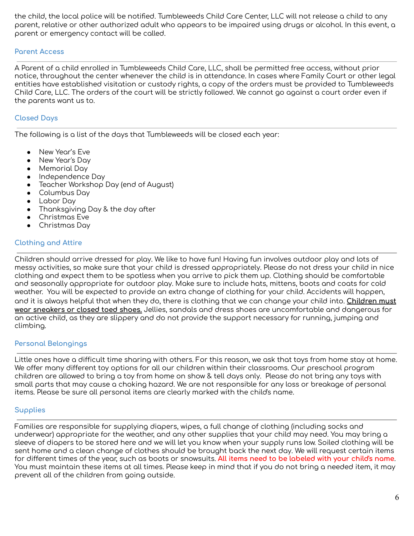the child, the local police will be notified. Tumbleweeds Child Care Center, LLC will not release a child to any parent, relative or other authorized adult who appears to be impaired using drugs or alcohol. In this event, a parent or emergency contact will be called.

#### **Parent Access**

A Parent of a child enrolled in Tumbleweeds Child Care, LLC, shall be permitted free access, without prior notice, throughout the center whenever the child is in attendance. In cases where Family Court or other legal entities have established visitation or custody rights, a copy of the orders must be provided to Tumbleweeds Child Care, LLC. The orders of the court will be strictly followed. We cannot go against a court order even if the parents want us to.

# **Closed Days**

The following is a list of the days that Tumbleweeds will be closed each year:

- New Year's Eve
- New Year's Day
- Memorial Day
- Independence Day
- Teacher Workshop Day (end of August)
- Columbus Day
- Labor Day
- Thanksgiving Day & the day after
- Christmas Eve
- Christmas Day

# **Clothing and Attire**

Children should arrive dressed for play. We like to have fun! Having fun involves outdoor play and lots of messy activities, so make sure that your child is dressed appropriately. Please do not dress your child in nice clothing and expect them to be spotless when you arrive to pick them up. Clothing should be comfortable and seasonally appropriate for outdoor play. Make sure to include hats, mittens, boots and coats for cold weather. You will be expected to provide an extra change of clothing for your child. Accidents will happen, and it is always helpful that when they do, there is clothing that we can change your child into. **Children must wear sneakers or closed toed shoes.** Jellies, sandals and dress shoes are uncomfortable and dangerous for an active child, as they are slippery and do not provide the support necessary for running, jumping and climbing.

## **Personal Belongings**

Little ones have a difficult time sharing with others. For this reason, we ask that toys from home stay at home. We offer many different toy options for all our children within their classrooms. Our preschool program children are allowed to bring a toy from home on show & tell days only. Please do not bring any toys with small parts that may cause a choking hazard. We are not responsible for any loss or breakage of personal items. Please be sure all personal items are clearly marked with the child's name.

## **Supplies**

Families are responsible for supplying diapers, wipes, a full change of clothing (including socks and underwear) appropriate for the weather, and any other supplies that your child may need. You may bring a sleeve of diapers to be stored here and we will let you know when your supply runs low. Soiled clothing will be sent home and a clean change of clothes should be brought back the next day. We will request certain items for different times of the year, such as boots or snowsuits. **All items need to be labeled with your child's name**. You must maintain these items at all times. Please keep in mind that if you do not bring a needed item, it may prevent all of the children from going outside.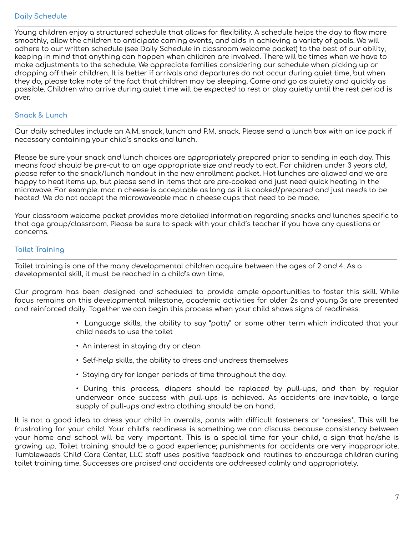Young children enjoy a structured schedule that allows for flexibility. A schedule helps the day to flow more smoothly, allow the children to anticipate coming events, and aids in achieving a variety of goals. We will adhere to our written schedule (see Daily Schedule in classroom welcome packet) to the best of our ability, keeping in mind that anything can happen when children are involved. There will be times when we have to make adjustments to the schedule. We appreciate families considering our schedule when picking up or dropping off their children. It is better if arrivals and departures do not occur during quiet time, but when they do, please take note of the fact that children may be sleeping. Come and go as quietly and quickly as possible. Children who arrive during quiet time will be expected to rest or play quietly until the rest period is over.

# **Snack & Lunch**

Our daily schedules include an A.M. snack, lunch and P.M. snack. Please send a lunch box with an ice pack if necessary containing your child's snacks and lunch.

Please be sure your snack and lunch choices are appropriately prepared prior to sending in each day. This means food should be pre-cut to an age appropriate size and ready to eat. For children under 3 years old, please refer to the snack/lunch handout in the new enrollment packet. Hot lunches are allowed and we are happy to heat items up, but please send in items that are pre-cooked and just need quick heating in the microwave. For example: mac n cheese is acceptable as long as it is cooked/prepared and just needs to be heated. We do not accept the microwaveable mac n cheese cups that need to be made.

Your classroom welcome packet provides more detailed information regarding snacks and lunches specific to that age group/classroom. Please be sure to speak with your child's teacher if you have any questions or concerns.

# **Toilet Training**

Toilet training is one of the many developmental children acquire between the ages of 2 and 4. As a developmental skill, it must be reached in a child's own time.

Our program has been designed and scheduled to provide ample opportunities to foster this skill. While focus remains on this developmental milestone, academic activities for older 2s and young 3s are presented and reinforced daily. Together we can begin this process when your child shows signs of readiness:

- Language skills, the ability to say "potty" or some other term which indicated that your child needs to use the toilet
- An interest in staying dry or clean
- Self-help skills, the ability to dress and undress themselves
- Staying dry for longer periods of time throughout the day.

• During this process, diapers should be replaced by pull-ups, and then by regular underwear once success with pull-ups is achieved. As accidents are inevitable, a large supply of pull-ups and extra clothing should be on hand.

It is not a good idea to dress your child in overalls, pants with difficult fasteners or \*onesies\*. This will be frustrating for your child. Your child's readiness is something we can discuss because consistency between your home and school will be very important. This is a special time for your child, a sign that he/she is growing up. Toilet training should be a good experience; punishments for accidents are very inappropriate. Tumbleweeds Child Care Center, LLC staff uses positive feedback and routines to encourage children during toilet training time. Successes are praised and accidents are addressed calmly and appropriately.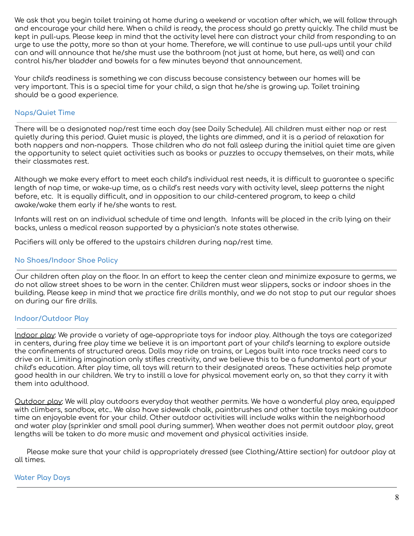We ask that you begin toilet training at home during a weekend or vacation after which, we will follow through and encourage your child here. When a child is ready, the process should go pretty quickly. The child must be kept in pull-ups. Please keep in mind that the activity level here can distract your child from responding to an urge to use the potty, more so than at your home. Therefore, we will continue to use pull-ups until your child can and will announce that he/she must use the bathroom (not just at home, but here, as well) and can control his/her bladder and bowels for a few minutes beyond that announcement.

Your child's readiness is something we can discuss because consistency between our homes will be very important. This is a special time for your child, a sign that he/she is growing up. Toilet training should be a good experience.

# **Naps/Quiet Time**

There will be a designated nap/rest time each day (see Daily Schedule). All children must either nap or rest quietly during this period. Quiet music is played, the lights are dimmed, and it is a period of relaxation for both nappers and non-nappers. Those children who do not fall asleep during the initial quiet time are given the opportunity to select quiet activities such as books or puzzles to occupy themselves, on their mats, while their classmates rest.

Although we make every effort to meet each child's individual rest needs, it is difficult to guarantee a specific length of nap time, or wake-up time, as a child's rest needs vary with activity level, sleep patterns the night before, etc. It is equally difficult, and in opposition to our child-centered program, to keep a child awake/wake them early if he/she wants to rest.

Infants will rest on an individual schedule of time and length. Infants will be placed in the crib lying on their backs, unless a medical reason supported by a physician's note states otherwise.

Pacifiers will only be offered to the upstairs children during nap/rest time.

## **No Shoes/Indoor Shoe Policy**

Our children often play on the floor. In an effort to keep the center clean and minimize exposure to germs, we do not allow street shoes to be worn in the center. Children must wear slippers, socks or indoor shoes in the building. Please keep in mind that we practice fire drills monthly, and we do not stop to put our regular shoes on during our fire drills.

## **Indoor/Outdoor Play**

Indoor play: We provide a variety of age-appropriate toys for indoor play. Although the toys are categorized in centers, during free play time we believe it is an important part of your child's learning to explore outside the confinements of structured areas. Dolls may ride on trains, or Legos built into race tracks need cars to drive on it. Limiting imagination only stifles creativity, and we believe this to be a fundamental part of your child's education. After play time, all toys will return to their designated areas. These activities help promote good health in our children. We try to instill a love for physical movement early on, so that they carry it with them into adulthood.

Outdoor play: We will play outdoors everyday that weather permits. We have a wonderful play area, equipped with climbers, sandbox, etc.. We also have sidewalk chalk, paintbrushes and other tactile toys making outdoor time an enjoyable event for your child. Other outdoor activities will include walks within the neighborhood and water play (sprinkler and small pool during summer). When weather does not permit outdoor play, great lengths will be taken to do more music and movement and physical activities inside.

Please make sure that your child is appropriately dressed (see Clothing/Attire section) for outdoor play at all times.

## **Water Play Days**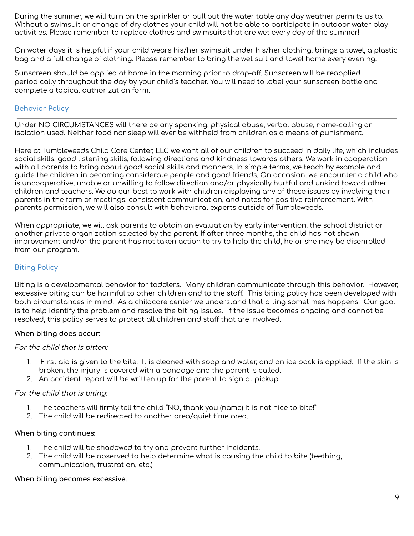During the summer, we will turn on the sprinkler or pull out the water table any day weather permits us to. Without a swimsuit or change of dry clothes your child will not be able to participate in outdoor water play activities. Please remember to replace clothes and swimsuits that are wet every day of the summer!

On water days it is helpful if your child wears his/her swimsuit under his/her clothing, brings a towel, a plastic bag and a full change of clothing. Please remember to bring the wet suit and towel home every evening.

Sunscreen should be applied at home in the morning prior to drop-off. Sunscreen will be reapplied periodically throughout the day by your child's teacher. You will need to label your sunscreen bottle and complete a topical authorization form.

# **Behavior Policy**

Under NO CIRCUMSTANCES will there be any spanking, physical abuse, verbal abuse, name-calling or isolation used. Neither food nor sleep will ever be withheld from children as a means of punishment.

Here at Tumbleweeds Child Care Center, LLC we want all of our children to succeed in daily life, which includes social skills, good listening skills, following directions and kindness towards others. We work in cooperation with all parents to bring about good social skills and manners. In simple terms, we teach by example and guide the children in becoming considerate people and good friends. On occasion, we encounter a child who is uncooperative, unable or unwilling to follow direction and/or physically hurtful and unkind toward other children and teachers. We do our best to work with children displaying any of these issues by involving their parents in the form of meetings, consistent communication, and notes for positive reinforcement. With parents permission, we will also consult with behavioral experts outside of Tumbleweeds.

When appropriate, we will ask parents to obtain an evaluation by early intervention, the school district or another private organization selected by the parent. If after three months, the child has not shown improvement and/or the parent has not taken action to try to help the child, he or she may be disenrolled from our program.

# **Biting Policy**

Biting is a developmental behavior for toddlers. Many children communicate through this behavior. However, excessive biting can be harmful to other children and to the staff. This biting policy has been developed with both circumstances in mind. As a childcare center we understand that biting sometimes happens. Our goal is to help identify the problem and resolve the biting issues. If the issue becomes ongoing and cannot be resolved, this policy serves to protect all children and staff that are involved.

## **When biting does occur:**

For the child that is bitten:

- 1. First aid is given to the bite. It is cleaned with soap and water, and an ice pack is applied. If the skin is broken, the injury is covered with a bandage and the parent is called.
- 2. An accident report will be written up for the parent to sign at pickup.

## For the child that is biting:

- 1. The teachers will firmly tell the child "NO, thank you (name) It is not nice to bite!"
- 2. The child will be redirected to another area/quiet time area.

#### **When biting continues:**

- 1. The child will be shadowed to try and prevent further incidents.
- 2. The child will be observed to help determine what is causing the child to bite (teething, communication, frustration, etc.)

#### **When biting becomes excessive:**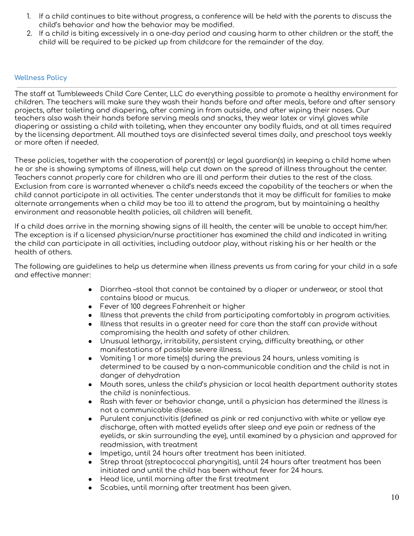- 1. If a child continues to bite without progress, a conference will be held with the parents to discuss the child's behavior and how the behavior may be modified.
- 2. If a child is biting excessively in a one-day period and causing harm to other children or the staff, the child will be required to be picked up from childcare for the remainder of the day.

# **Wellness Policy**

The staff at Tumbleweeds Child Care Center, LLC do everything possible to promote a healthy environment for children. The teachers will make sure they wash their hands before and after meals, before and after sensory projects, after toileting and diapering, after coming in from outside, and after wiping their noses. Our teachers also wash their hands before serving meals and snacks, they wear latex or vinyl gloves while diapering or assisting a child with toileting, when they encounter any bodily fluids, and at all times required by the licensing department. All mouthed toys are disinfected several times daily, and preschool toys weekly or more often if needed.

These policies, together with the cooperation of parent(s) or legal guardian(s) in keeping a child home when he or she is showing symptoms of illness, will help cut down on the spread of illness throughout the center. Teachers cannot properly care for children who are ill and perform their duties to the rest of the class. Exclusion from care is warranted whenever a child's needs exceed the capability of the teachers or when the child cannot participate in all activities. The center understands that it may be difficult for families to make alternate arrangements when a child may be too ill to attend the program, but by maintaining a healthy environment and reasonable health policies, all children will benefit.

If a child does arrive in the morning showing signs of ill health, the center will be unable to accept him/her. The exception is if a licensed physician/nurse practitioner has examined the child and indicated in writing the child can participate in all activities, including outdoor play, without risking his or her health or the health of others.

The following are guidelines to help us determine when illness prevents us from caring for your child in a safe and effective manner:

- Diarrhea –stool that cannot be contained by a diaper or underwear, or stool that contains blood or mucus.
- Fever of 100 degrees Fahrenheit or higher
- Illness that prevents the child from participating comfortably in program activities.
- Illness that results in a greater need for care than the staff can provide without compromising the health and safety of other children.
- Unusual lethargy, irritability, persistent crying, difficulty breathing, or other manifestations of possible severe illness.
- Vomiting 1 or more time(s) during the previous 24 hours, unless vomiting is determined to be caused by a non-communicable condition and the child is not in danger of dehydration
- Mouth sores, unless the child's physician or local health department authority states the child is noninfectious.
- Rash with fever or behavior change, until a physician has determined the illness is not a communicable disease.
- Purulent conjunctivitis (defined as pink or red conjunctiva with white or yellow eye discharge, often with matted eyelids after sleep and eye pain or redness of the eyelids, or skin surrounding the eye), until examined by a physician and approved for readmission, with treatment
- Impetigo, until 24 hours after treatment has been initiated.
- Strep throat (streptococcal pharyngitis), until 24 hours after treatment has been initiated and until the child has been without fever for 24 hours.
- Head lice, until morning after the first treatment
- Scabies, until morning after treatment has been given.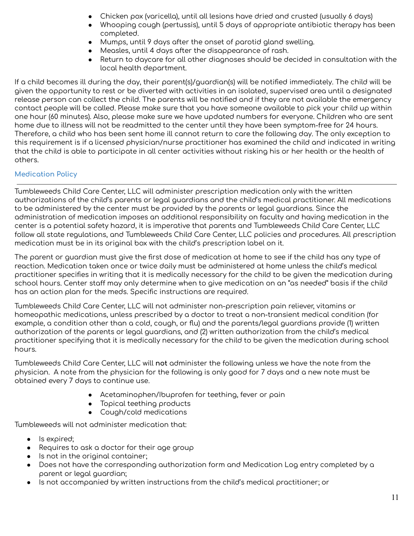- Chicken pox (varicella), until all lesions have dried and crusted (usually 6 days)
- Whooping cough (pertussis), until 5 days of appropriate antibiotic therapy has been completed.
- Mumps, until 9 days after the onset of parotid gland swelling.
- Measles, until 4 days after the disappearance of rash.
- Return to daycare for all other diagnoses should be decided in consultation with the local health department.

If a child becomes ill during the day, their parent(s)/guardian(s) will be notified immediately. The child will be given the opportunity to rest or be diverted with activities in an isolated, supervised area until a designated release person can collect the child. The parents will be notified and if they are not available the emergency contact people will be called. Please make sure that you have someone available to pick your child up within one hour (60 minutes). Also, please make sure we have updated numbers for everyone. Children who are sent home due to illness will not be readmitted to the center until they have been symptom-free for 24 hours. Therefore, a child who has been sent home ill cannot return to care the following day. The only exception to this requirement is if a licensed physician/nurse practitioner has examined the child and indicated in writing that the child is able to participate in all center activities without risking his or her health or the health of others.

# **Medication Policy**

Tumbleweeds Child Care Center, LLC will administer prescription medication only with the written authorizations of the child's parents or legal guardians and the child's medical practitioner. All medications to be administered by the center must be provided by the parents or legal guardians. Since the administration of medication imposes an additional responsibility on faculty and having medication in the center is a potential safety hazard, it is imperative that parents and Tumbleweeds Child Care Center, LLC follow all state regulations, and Tumbleweeds Child Care Center, LLC policies and procedures. All prescription medication must be in its original box with the child's prescription label on it.

The parent or guardian must give the first dose of medication at home to see if the child has any type of reaction. Medication taken once or twice daily must be administered at home unless the child's medical practitioner specifies in writing that it is medically necessary for the child to be given the medication during school hours. Center staff may only determine when to give medication on an "as needed" basis if the child has an action plan for the meds. Specific instructions are required.

Tumbleweeds Child Care Center, LLC will not administer non-prescription pain reliever, vitamins or homeopathic medications, unless prescribed by a doctor to treat a non-transient medical condition (for example, a condition other than a cold, cough, or flu) and the parents/legal guardians provide (1) written authorization of the parents or legal guardians, and (2) written authorization from the child's medical practitioner specifying that it is medically necessary for the child to be given the medication during school hours.

Tumbleweeds Child Care Center, LLC will **not** administer the following unless we have the note from the physician. A note from the physician for the following is only good for 7 days and a new note must be obtained every 7 days to continue use.

- Acetaminophen/Ibuprofen for teething, fever or pain
- Topical teething products
- Cough/cold medications

Tumbleweeds will not administer medication that:

- Is expired;
- Requires to ask a doctor for their age group
- Is not in the original container;
- Does not have the corresponding authorization form and Medication Log entry completed by a parent or legal guardian;
- Is not accompanied by written instructions from the child's medical practitioner; or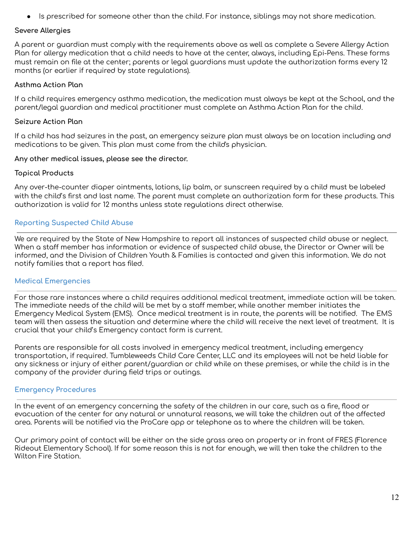Is prescribed for someone other than the child. For instance, siblings may not share medication.

#### **Severe Allergies**

A parent or guardian must comply with the requirements above as well as complete a Severe Allergy Action Plan for allergy medication that a child needs to have at the center, always, including Epi-Pens. These forms must remain on file at the center; parents or legal guardians must update the authorization forms every 12 months (or earlier if required by state regulations).

#### **Asthma Action Plan**

If a child requires emergency asthma medication, the medication must always be kept at the School, and the parent/legal guardian and medical practitioner must complete an Asthma Action Plan for the child.

#### **Seizure Action Plan**

If a child has had seizures in the past, an emergency seizure plan must always be on location including and medications to be given. This plan must come from the child's physician.

#### **Any other medical issues, please see the director.**

#### **Topical Products**

Any over-the-counter diaper ointments, lotions, lip balm, or sunscreen required by a child must be labeled with the child's first and last name. The parent must complete an authorization form for these products. This authorization is valid for 12 months unless state regulations direct otherwise.

## **Reporting Suspected Child Abuse**

We are required by the State of New Hampshire to report all instances of suspected child abuse or neglect. When a staff member has information or evidence of suspected child abuse, the Director or Owner will be informed, and the Division of Children Youth & Families is contacted and given this information. We do not notify families that a report has filed.

## **Medical Emergencies**

For those rare instances where a child requires additional medical treatment, immediate action will be taken. The immediate needs of the child will be met by a staff member, while another member initiates the Emergency Medical System (EMS). Once medical treatment is in route, the parents will be notified. The EMS team will then assess the situation and determine where the child will receive the next level of treatment. It is crucial that your child's Emergency contact form is current.

Parents are responsible for all costs involved in emergency medical treatment, including emergency transportation, if required. Tumbleweeds Child Care Center, LLC and its employees will not be held liable for any sickness or injury of either parent/guardian or child while on these premises, or while the child is in the company of the provider during field trips or outings.

## **Emergency Procedures**

In the event of an emergency concerning the safety of the children in our care, such as a fire, flood or evacuation of the center for any natural or unnatural reasons, we will take the children out of the affected area. Parents will be notified via the ProCare app or telephone as to where the children will be taken.

Our primary point of contact will be either on the side grass area on property or in front of FRES (Florence Rideout Elementary School). If for some reason this is not far enough, we will then take the children to the Wilton Fire Station.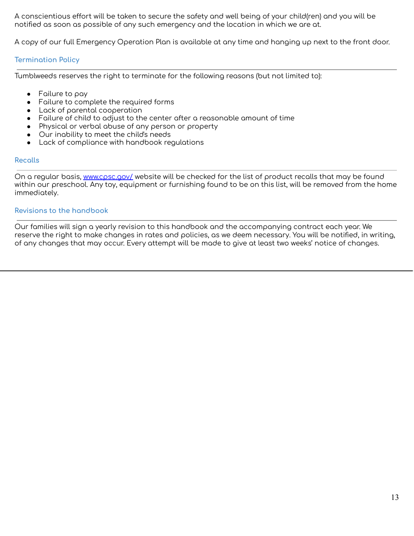A conscientious effort will be taken to secure the safety and well being of your child(ren) and you will be notified as soon as possible of any such emergency and the location in which we are at.

A copy of our full Emergency Operation Plan is available at any time and hanging up next to the front door.

## **Termination Policy**

Tumblweeds reserves the right to terminate for the following reasons (but not limited to):

- $\bullet$  Failure to pay
- Failure to complete the required forms
- Lack of parental cooperation
- Failure of child to adjust to the center after a reasonable amount of time
- Physical or verbal abuse of any person or property
- Our inability to meet the child's needs
- Lack of compliance with handbook regulations

#### **Recalls**

On a regular basis, [www.cpsc.gov/](http://www.cpsc.gov/) website will be checked for the list of product recalls that may be found within our preschool. Any toy, equipment or furnishing found to be on this list, will be removed from the home immediately.

#### **Revisions to the handbook**

Our families will sign a yearly revision to this handbook and the accompanying contract each year. We reserve the right to make changes in rates and policies, as we deem necessary. You will be notified, in writing, of any changes that may occur. Every attempt will be made to give at least two weeks' notice of changes.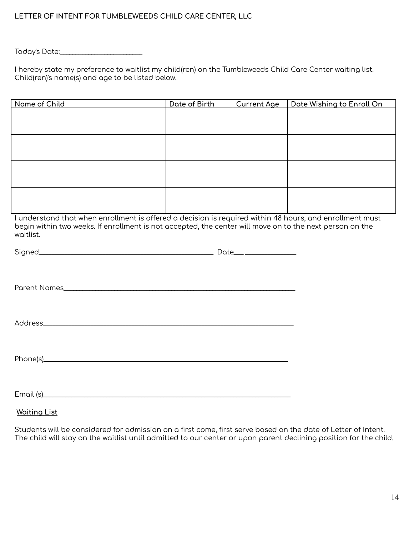# **LETTER OF INTENT FOR TUMBLEWEEDS CHILD CARE CENTER, LLC**

Today's Date:\_\_\_\_\_\_\_\_\_\_\_\_\_\_\_\_\_\_\_\_\_\_\_\_\_\_

I hereby state my preference to waitlist my child(ren) on the Tumbleweeds Child Care Center waiting list. Child(ren)'s name(s) and age to be listed below.

| Name of Child | Date of Birth | <b>Current Age</b> | Date Wishing to Enroll On |
|---------------|---------------|--------------------|---------------------------|
|               |               |                    |                           |
|               |               |                    |                           |
|               |               |                    |                           |
|               |               |                    |                           |
|               |               |                    |                           |
|               |               |                    |                           |
|               |               |                    |                           |
|               |               |                    |                           |
|               |               |                    |                           |
|               |               |                    |                           |
|               |               |                    |                           |
|               |               |                    |                           |

I understand that when enrollment is offered a decision is required within 48 hours, and enrollment must begin within two weeks. If enrollment is not accepted, the center will move on to the next person on the waitlist.

**Waiting List**

Students will be considered for admission on a first come, first serve based on the date of Letter of Intent. The child will stay on the waitlist until admitted to our center or upon parent declining position for the child.